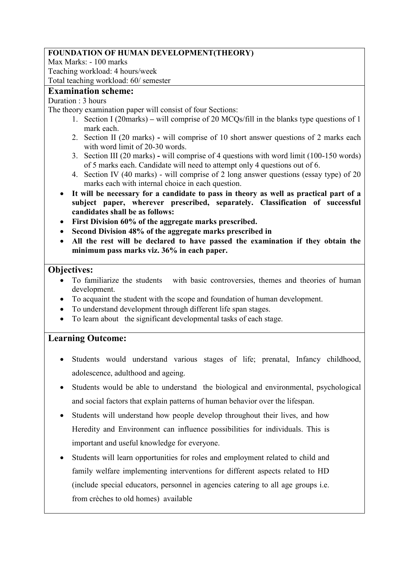## **FOUNDATION OF HUMAN DEVELOPMENT(THEORY)**

Max Marks: - 100 marks Teaching workload: 4 hours/week

Total teaching workload: 60/ semester

## **Examination scheme:**

Duration : 3 hours

The theory examination paper will consist of four Sections:

- 1. Section I (20marks) **–** will comprise of 20 MCQs/fill in the blanks type questions of 1 mark each.
- 2. Section II (20 marks) **-** will comprise of 10 short answer questions of 2 marks each with word limit of 20-30 words.
- 3. Section III (20 marks) **-** will comprise of 4 questions with word limit (100-150 words) of 5 marks each. Candidate will need to attempt only 4 questions out of 6.
- 4. Section IV (40 marks) will comprise of 2 long answer questions (essay type) of 20 marks each with internal choice in each question.
- **It will be necessary for a candidate to pass in theory as well as practical part of a subject paper, wherever prescribed, separately. Classification of successful candidates shall be as follows:**
- **First Division 60% of the aggregate marks prescribed.**
- **Second Division 48% of the aggregate marks prescribed in**
- **All the rest will be declared to have passed the examination if they obtain the minimum pass marks viz. 36% in each paper.**

## **Objectives:**

- To familiarize the students with basic controversies, themes and theories of human development.
- To acquaint the student with the scope and foundation of human development.
- To understand development through different life span stages.
- To learn about the significant developmental tasks of each stage.

## **Learning Outcome:**

- Students would understand various stages of life; prenatal, Infancy childhood, adolescence, adulthood and ageing.
- Students would be able to understand the biological and environmental, psychological and social factors that explain patterns of human behavior over the lifespan.
- Students will understand how people develop throughout their lives, and how Heredity and Environment can influence possibilities for individuals. This is important and useful knowledge for everyone.
- Students will learn opportunities for roles and employment related to child and family welfare implementing interventions for different aspects related to HD (include special educators, personnel in agencies catering to all age groups i.e. from crèches to old homes) available